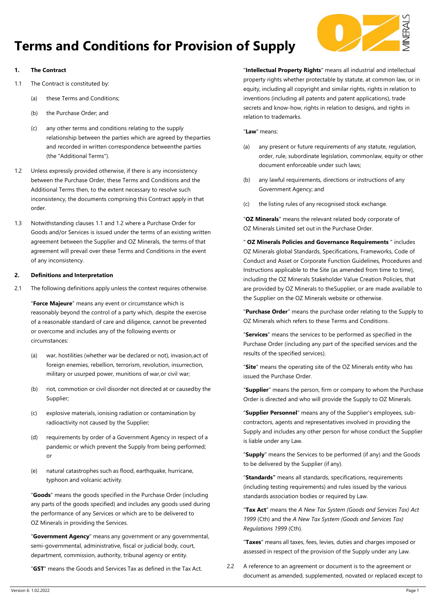

# **Terms and Conditions for Provision of Supply**

# **1. The Contract**

- <span id="page-0-0"></span>1.1 The Contract is constituted by:
	- (a) these Terms and Conditions;
	- (b) the Purchase Order; and
	- (c) any other terms and conditions relating to the supply relationship between the parties which are agreed by theparties and recorded in written correspondence betweenthe parties (the "Additional Terms").
- <span id="page-0-1"></span>1.2 Unless expressly provided otherwise, if there is any inconsistency between the Purchase Order, these Terms and Conditions and the Additional Terms then, to the extent necessary to resolve such inconsistency, the documents comprising this Contract apply in that order.
- 1.3 Notwithstanding clauses [1.1](#page-0-0) and [1.2](#page-0-1) where a Purchase Order for Goods and/or Services is issued under the terms of an existing written agreement between the Supplier and OZ Minerals, the terms of that agreement will prevail over these Terms and Conditions in the event of any inconsistency.

# **2. Definitions and Interpretation**

2.1 The following definitions apply unless the context requires otherwise.

"**Force Majeure**" means any event or circumstance which is reasonably beyond the control of a party which, despite the exercise of a reasonable standard of care and diligence, cannot be prevented or overcome and includes any of the following events or circumstances:

- (a) war, hostilities (whether war be declared or not), invasion,act of foreign enemies, rebellion, terrorism, revolution, insurrection, military or usurped power, munitions of war,or civil war;
- (b) riot, commotion or civil disorder not directed at or causedby the Supplier;
- (c) explosive materials, ionising radiation or contamination by radioactivity not caused by the Supplier;
- (d) requirements by order of a Government Agency in respect of a pandemic or which prevent the Supply from being performed; or
- (e) natural catastrophes such as flood, earthquake, hurricane, typhoon and volcanic activity.

"**Goods**" means the goods specified in the Purchase Order (including any parts of the goods specified) and includes any goods used during the performance of any Services or which are to be delivered to OZ Minerals in providing the Services.

"**Government Agency**" means any government or any governmental, semi-governmental, administrative, fiscal or judicial body, court, department, commission, authority, tribunal agency or entity.

"**GST**" means the Goods and Services Tax as defined in the Tax Act.

"**Intellectual Property Rights**" means all industrial and intellectual property rights whether protectable by statute, at common law, or in equity, including all copyright and similar rights, rights in relation to inventions (including all patents and patent applications), trade secrets and know-how, rights in relation to designs, and rights in relation to trademarks.

"**Law**" means:

- (a) any present or future requirements of any statute, regulation, order, rule, subordinate legislation, commonlaw, equity or other document enforceable under such laws;
- (b) any lawful requirements, directions or instructions of any Government Agency; and
- (c) the listing rules of any recognised stock exchange.

"**OZ Minerals**" means the relevant related body corporate of OZ Minerals Limited set out in the Purchase Order.

" **OZ Minerals Policies and Governance Requirements** " includes OZ Minerals global Standards, Specifications, Frameworks, Code of Conduct and Asset or Corporate Function Guidelines, Procedures and Instructions applicable to the Site (as amended from time to time), including the OZ Minerals Stakeholder Value Creation Policies, that are provided by OZ Minerals to theSupplier, or are made available to the Supplier on the OZ Minerals website or otherwise.

"**Purchase Order**" means the purchase order relating to the Supply to OZ Minerals which refers to these Terms and Conditions.

"**Services**" means the services to be performed as specified in the Purchase Order (including any part of the specified services and the results of the specified services).

"**Site**" means the operating site of the OZ Minerals entity who has issued the Purchase Order.

"**Supplier**" means the person, firm or company to whom the Purchase Order is directed and who will provide the Supply to OZ Minerals.

"**Supplier Personnel**" means any of the Supplier's employees, subcontractors, agents and representatives involved in providing the Supply and includes any other person for whose conduct the Supplier is liable under any Law.

"**Supply**" means the Services to be performed (if any) and the Goods to be delivered by the Supplier (if any).

"**Standards"** means all standards, specifications, requirements (including testing requirements) and rules issued by the various standards association bodies or required by Law.

"**Tax Act**" means the *A New Tax System (Goods and Services Tax) Act 1999* (Cth) and the *A New Tax System (Goods and Services Tax) Regulations 1999* (Cth).

"**Taxes**" means all taxes, fees, levies, duties and charges imposed or assessed in respect of the provision of the Supply under any Law.

2.2 A reference to an agreement or document is to the agreement or document as amended, supplemented, novated or replaced except to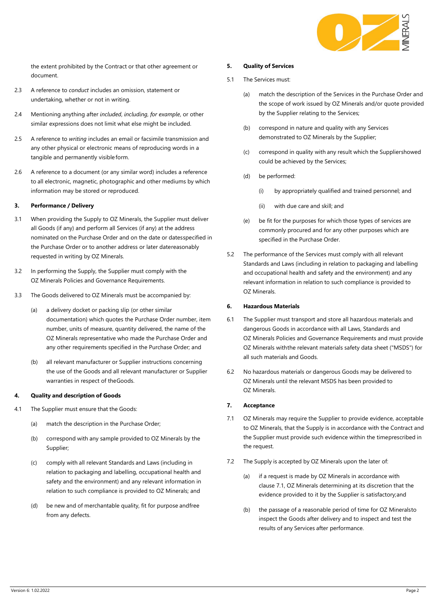

the extent prohibited by the Contract or that other agreement or document.

- 2.3 A reference to *conduct* includes an omission, statement or undertaking, whether or not in writing.
- 2.4 Mentioning anything after *included*, *including*, *for example*, or other similar expressions does not limit what else might be included.
- 2.5 A reference to *writing* includes an email or facsimile transmission and any other physical or electronic means of reproducing words in a tangible and permanently visible form.
- 2.6 A reference to a document (or any similar word) includes a reference to all electronic, magnetic, photographic and other mediums by which information may be stored or reproduced.

# <span id="page-1-1"></span>**3. Performance / Delivery**

- 3.1 When providing the Supply to OZ Minerals, the Supplier must deliver all Goods (if any) and perform all Services (if any) at the address nominated on the Purchase Order and on the date or datesspecified in the Purchase Order or to another address or later datereasonably requested in writing by OZ Minerals.
- 3.2 In performing the Supply, the Supplier must comply with the OZ Minerals Policies and Governance Requirements.
- 3.3 The Goods delivered to OZ Minerals must be accompanied by:
	- (a) a delivery docket or packing slip (or other similar documentation) which quotes the Purchase Order number, item number, units of measure, quantity delivered, the name of the OZ Minerals representative who made the Purchase Order and any other requirements specified in the Purchase Order; and
	- (b) all relevant manufacturer or Supplier instructions concerning the use of the Goods and all relevant manufacturer or Supplier warranties in respect of theGoods.

#### <span id="page-1-2"></span>**4. Quality and description of Goods**

- 4.1 The Supplier must ensure that the Goods:
	- (a) match the description in the Purchase Order;
	- (b) correspond with any sample provided to OZ Minerals by the Supplier;
	- (c) comply with all relevant Standards and Laws (including in relation to packaging and labelling, occupational health and safety and the environment) and any relevant information in relation to such compliance is provided to OZ Minerals; and
	- (d) be new and of merchantable quality, fit for purpose andfree from any defects.

#### <span id="page-1-3"></span>**5. Quality of Services**

- 5.1 The Services must:
	- (a) match the description of the Services in the Purchase Order and the scope of work issued by OZ Minerals and/or quote provided by the Supplier relating to the Services;
	- (b) correspond in nature and quality with any Services demonstrated to OZ Minerals by the Supplier;
	- (c) correspond in quality with any result which the Suppliershowed could be achieved by the Services;
	- (d) be performed:
		- (i) by appropriately qualified and trained personnel; and
		- (ii) with due care and skill; and
	- (e) be fit for the purposes for which those types of services are commonly procured and for any other purposes which are specified in the Purchase Order.
- 5.2 The performance of the Services must comply with all relevant Standards and Laws (including in relation to packaging and labelling and occupational health and safety and the environment) and any relevant information in relation to such compliance is provided to OZ Minerals.

### **6. Hazardous Materials**

- 6.1 The Supplier must transport and store all hazardous materials and dangerous Goods in accordance with all Laws, Standards and OZ Minerals Policies and Governance Requirements and must provide OZ Minerals withthe relevant materials safety data sheet ("MSDS") for all such materials and Goods.
- 6.2 No hazardous materials or dangerous Goods may be delivered to OZ Minerals until the relevant MSDS has been provided to OZ Minerals.

# **7. Acceptance**

- <span id="page-1-0"></span>7.1 OZ Minerals may require the Supplier to provide evidence, acceptable to OZ Minerals, that the Supply is in accordance with the Contract and the Supplier must provide such evidence within the timeprescribed in the request.
- 7.2 The Supply is accepted by OZ Minerals upon the later of:
	- (a) if a request is made by OZ Minerals in accordance with clause [7.1, O](#page-1-0)Z Minerals determining at its discretion that the evidence provided to it by the Supplier is satisfactory;and
	- (b) the passage of a reasonable period of time for OZ Mineralsto inspect the Goods after delivery and to inspect and test the results of any Services after performance.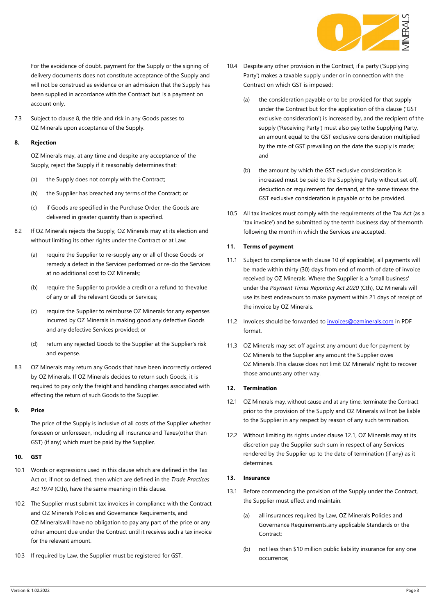

For the avoidance of doubt, payment for the Supply or the signing of delivery documents does not constitute acceptance of the Supply and will not be construed as evidence or an admission that the Supply has been supplied in accordance with the Contract but is a payment on account only.

7.3 Subject to clause [8, th](#page-2-0)e title and risk in any Goods passes to OZ Minerals upon acceptance of the Supply.

# <span id="page-2-0"></span>**8. Rejection**

OZ Minerals may, at any time and despite any acceptance of the Supply, reject the Supply if it reasonably determines that:

- (a) the Supply does not comply with the Contract;
- (b) the Supplier has breached any terms of the Contract; or
- (c) if Goods are specified in the Purchase Order, the Goods are delivered in greater quantity than is specified.
- 8.2 If OZ Minerals rejects the Supply, OZ Minerals may at its election and without limiting its other rights under the Contract or at Law:
	- (a) require the Supplier to re-supply any or all of those Goods or remedy a defect in the Services performed or re-do the Services at no additional cost to OZ Minerals;
	- (b) require the Supplier to provide a credit or a refund to thevalue of any or all the relevant Goods or Services;
	- (c) require the Supplier to reimburse OZ Minerals for any expenses incurred by OZ Minerals in making good any defective Goods and any defective Services provided; or
	- (d) return any rejected Goods to the Supplier at the Supplier's risk and expense.
- 8.3 OZ Minerals may return any Goods that have been incorrectly ordered by OZ Minerals. If OZ Minerals decides to return such Goods, it is required to pay only the freight and handling charges associated with effecting the return of such Goods to the Supplier.

# **9. Price**

The price of the Supply is inclusive of all costs of the Supplier whether foreseen or unforeseen, including all insurance and Taxes(other than GST) (if any) which must be paid by the Supplier.

# <span id="page-2-1"></span>**10. GST**

- 10.1 Words or expressions used in this clause which are defined in the Tax Act or, if not so defined, then which are defined in the *Trade Practices Act 1974* (Cth), have the same meaning in this clause.
- 10.2 The Supplier must submit tax invoices in compliance with the Contract and OZ Minerals Policies and Governance Requirements, and OZ Mineralswill have no obligation to pay any part of the price or any other amount due under the Contract until it receives such a tax invoice for the relevant amount.
- 10.3 If required by Law, the Supplier must be registered for GST.
- 10.4 Despite any other provision in the Contract, if a party ('Supplying Party') makes a taxable supply under or in connection with the Contract on which GST is imposed:
	- (a) the consideration payable or to be provided for that supply under the Contract but for the application of this clause ('GST exclusive consideration') is increased by, and the recipient of the supply ('Receiving Party') must also pay tothe Supplying Party, an amount equal to the GST exclusive consideration multiplied by the rate of GST prevailing on the date the supply is made; and
	- (b) the amount by which the GST exclusive consideration is increased must be paid to the Supplying Party without set off, deduction or requirement for demand, at the same timeas the GST exclusive consideration is payable or to be provided.
- 10.5 All tax invoices must comply with the requirements of the Tax Act (as a 'tax invoice') and be submitted by the tenth business day of themonth following the month in which the Services are accepted.

# <span id="page-2-4"></span>**11. Terms of payment**

- 11.1 Subject to compliance with claus[e 10](#page-2-1) (if applicable), all payments will be made within thirty (30) days from end of month of date of invoice received by OZ Minerals. Where the Supplier is a 'small business' under the *Payment Times Reporting Act 2020* (Cth), OZ Minerals will use its best endeavours to make payment within 21 days of receipt of the invoice by OZ Minerals.
- 11.2 Invoices should be forwarded to [invoices@ozminerals.com](mailto:invoices@ozminerals.com) in PDF format.
- 11.3 OZ Minerals may set off against any amount due for payment by OZ Minerals to the Supplier any amount the Supplier owes OZ Minerals.This clause does not limit OZ Minerals' right to recover those amounts any other way.

# <span id="page-2-2"></span>**12. Termination**

- 12.1 OZ Minerals may, without cause and at any time, terminate the Contract prior to the provision of the Supply and OZ Minerals willnot be liable to the Supplier in any respect by reason of any such termination.
- 12.2 Without limiting its rights under clause [12.1, O](#page-2-2)Z Minerals may at its discretion pay the Supplier such sum in respect of any Services rendered by the Supplier up to the date of termination (if any) as it determines.

# <span id="page-2-3"></span>**13. Insurance**

- 13.1 Before commencing the provision of the Supply under the Contract, the Supplier must effect and maintain:
	- (a) all insurances required by Law, OZ Minerals Policies and Governance Requirements,any applicable Standards or the Contract;
	- (b) not less than \$10 million public liability insurance for any one occurrence;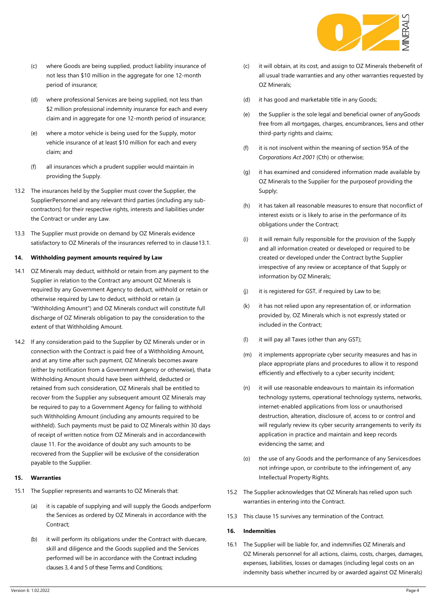

- (c) where Goods are being supplied, product liability insurance of not less than \$10 million in the aggregate for one 12-month period of insurance;
- (d) where professional Services are being supplied, not less than \$2 million professional indemnity insurance for each and every claim and in aggregate for one 12-month period of insurance;
- (e) where a motor vehicle is being used for the Supply, motor vehicle insurance of at least \$10 million for each and every claim; and
- (f) all insurances which a prudent supplier would maintain in providing the Supply.
- 13.2 The insurances held by the Supplier must cover the Supplier, the SupplierPersonnel and any relevant third parties (including any subcontractors) for their respective rights, interests and liabilities under the Contract or under any Law.
- 13.3 The Supplier must provide on demand by OZ Minerals evidence satisfactory to OZ Minerals of the insurances referred to in claus[e13.1.](#page-2-3)

# **14. Withholding payment amounts required by Law**

- 14.1 OZ Minerals may deduct, withhold or retain from any payment to the Supplier in relation to the Contract any amount OZ Minerals is required by any Government Agency to deduct, withhold or retain or otherwise required by Law to deduct, withhold or retain (a "Withholding Amount") and OZ Minerals conduct will constitute full discharge of OZ Minerals obligation to pay the consideration to the extent of that Withholding Amount.
- 14.2 If any consideration paid to the Supplier by OZ Minerals under or in connection with the Contract is paid free of a Withholding Amount, and at any time after such payment, OZ Minerals becomes aware (either by notification from a Government Agency or otherwise), thata Withholding Amount should have been withheld, deducted or retained from such consideration, OZ Minerals shall be entitled to recover from the Supplier any subsequent amount OZ Minerals may be required to pay to a Government Agency for failing to withhold such Withholding Amount (including any amounts required to be withheld). Such payments must be paid to OZ Minerals within 30 days of receipt of written notice from OZ Minerals and in accordancewith claus[e 11. F](#page-2-4)or the avoidance of doubt any such amounts to be recovered from the Supplier will be exclusive of the consideration payable to the Supplier.

# <span id="page-3-0"></span>**15. Warranties**

- 15.1 The Supplier represents and warrants to OZ Minerals that:
	- (a) it is capable of supplying and will supply the Goods andperform the Services as ordered by OZ Minerals in accordance with the Contract;
	- (b) it will perform its obligations under the Contract with duecare, skill and diligence and the Goods supplied and the Services performed will be in accordance with the Contract including clause[s 3,](#page-1-1) [4](#page-1-2) an[d 5](#page-1-3) of these Terms and Conditions;
- (c) it will obtain, at its cost, and assign to OZ Minerals thebenefit of all usual trade warranties and any other warranties requested by OZ Minerals;
- (d) it has good and marketable title in any Goods;
- (e) the Supplier is the sole legal and beneficial owner of anyGoods free from all mortgages, charges, encumbrances, liens and other third-party rights and claims;
- (f) it is not insolvent within the meaning of section 95A of the *Corporations Act 2001* (Cth) or otherwise;
- (g) it has examined and considered information made available by OZ Minerals to the Supplier for the purposeof providing the Supply;
- (h) it has taken all reasonable measures to ensure that noconflict of interest exists or is likely to arise in the performance of its obligations under the Contract;
- (i) it will remain fully responsible for the provision of the Supply and all information created or developed or required to be created or developed under the Contract bythe Supplier irrespective of any review or acceptance of that Supply or information by OZ Minerals;
- (j) it is registered for GST, if required by Law to be;
- (k) it has not relied upon any representation of, or information provided by, OZ Minerals which is not expressly stated or included in the Contract;
- (l) it will pay all Taxes (other than any GST);
- (m) it implements appropriate cyber security measures and has in place appropriate plans and procedures to allow it to respond efficiently and effectively to a cyber security incident;
- (n) it will use reasonable endeavours to maintain its information technology systems, operational technology systems, networks, internet-enabled applications from loss or unauthorised destruction, alteration, disclosure of, access to or control and will regularly review its cyber security arrangements to verify its application in practice and maintain and keep records evidencing the same; and
- (o) the use of any Goods and the performance of any Servicesdoes not infringe upon, or contribute to the infringement of, any Intellectual Property Rights.
- 15.2 The Supplier acknowledges that OZ Minerals has relied upon such warranties in entering into the Contract.
- 15.3 This clause [15](#page-3-0) survives any termination of the Contract.

# <span id="page-3-1"></span>**16. Indemnities**

16.1 The Supplier will be liable for, and indemnifies OZ Minerals and OZ Minerals personnel for all actions, claims, costs, charges, damages, expenses, liabilities, losses or damages (including legal costs on an indemnity basis whether incurred by or awarded against OZ Minerals)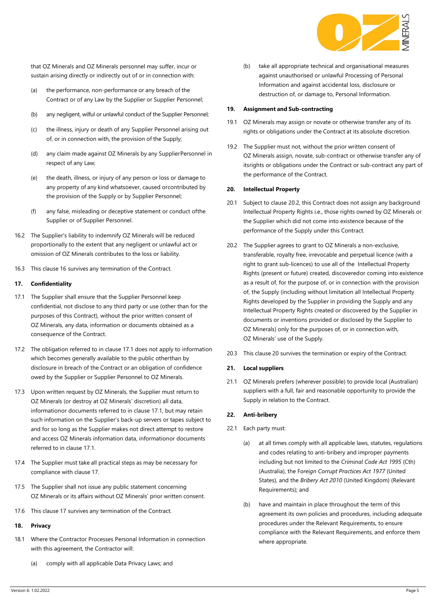

that OZ Minerals and OZ Minerals personnel may suffer, incur or sustain arising directly or indirectly out of or in connection with:

- (a) the performance, non-performance or any breach of the Contract or of any Law by the Supplier or Supplier Personnel;
- (b) any negligent, wilful or unlawful conduct of the Supplier Personnel;
- (c) the illness, injury or death of any Supplier Personnel arising out of, or in connection with, the provision of the Supply;
- (d) any claim made against OZ Minerals by any SupplierPersonnel in respect of any Law;
- (e) the death, illness, or injury of any person or loss or damage to any property of any kind whatsoever, caused orcontributed by the provision of the Supply or by Supplier Personnel;
- (f) any false, misleading or deceptive statement or conduct ofthe Supplier or of Supplier Personnel.
- 16.2 The Supplier's liability to indemnify OZ Minerals will be reduced proportionally to the extent that any negligent or unlawful act or omission of OZ Minerals contributes to the loss or liability.
- 16.3 This clause [16](#page-3-1) survives any termination of the Contract.

# <span id="page-4-1"></span>**17. Confidentiality**

- <span id="page-4-0"></span>17.1 The Supplier shall ensure that the Supplier Personnel keep confidential, not disclose to any third party or use (other than for the purposes of this Contract), without the prior written consent of OZ Minerals, any data, information or documents obtained as a consequence of the Contract.
- 17.2 The obligation referred to in clause [17.1](#page-4-0) does not apply to information which becomes generally available to the public otherthan by disclosure in breach of the Contract or an obligation of confidence owed by the Supplier or Supplier Personnel to OZ Minerals.
- 17.3 Upon written request by OZ Minerals, the Supplier must return to OZ Minerals (or destroy at OZ Minerals' discretion) all data, informationor documents referred to in claus[e 17.1, but may retain](#page-4-0)  [such information on the Supplier's back-up servers or tapes subject to](#page-4-0)  [and for so long as the Supplier makes not direct attempt to restore](#page-4-0)  and access OZ Minerals [information data, informationor](#page-4-0) documents referred to [in clause 17.1.](#page-4-0)
- 17.4 The Supplier must take all practical steps as may be necessary for compliance with clause [17.](#page-4-1)
- 17.5 The Supplier shall not issue any public statement concerning OZ Minerals or its affairs without OZ Minerals' prior written consent.
- 17.6 This clause [17](#page-4-1) survives any termination of the Contract.

# <span id="page-4-4"></span>**18. Privacy**

- 18.1 Where the Contractor Processes Personal Information in connection with this agreement, the Contractor will:
	- (a) comply with all applicable Data Privacy Laws; and

(b) take all appropriate technical and organisational measures against unauthorised or unlawful Processing of Personal Information and against accidental loss, disclosure or destruction of, or damage to, Personal Information.

#### **19. Assignment and Sub-contracting**

- 19.1 OZ Minerals may assign or novate or otherwise transfer any of its rights or obligations under the Contract at its absolute discretion.
- 19.2 The Supplier must not, without the prior written consent of OZ Minerals assign, novate, sub-contract or otherwise transfer any of itsrights or obligations under the Contract or sub-contract any part of the performance of the Contract.

# <span id="page-4-3"></span>**20. Intellectual Property**

- 20.1 Subject to clause [20.2,](#page-4-2) this Contract does not assign any background Intellectual Property Rights i.e., those rights owned by OZ Minerals or the Supplier which did not come into existence because of the performance of the Supply under this Contract.
- <span id="page-4-2"></span>20.2 The Supplier agrees to grant to OZ Minerals a non-exclusive, transferable, royalty free, irrevocable and perpetual licence (with a right to grant sub-licences) to use all of the Intellectual Property Rights (present or future) created, discoveredor coming into existence as a result of, for the purpose of, or in connection with the provision of, the Supply (including without limitation all Intellectual Property Rights developed by the Supplier in providing the Supply and any Intellectual Property Rights created or discovered by the Supplier in documents or inventions provided or disclosed by the Supplier to OZ Minerals) only for the purposes of, or in connection with, OZ Minerals' use of the Supply.
- 20.3 This clause [20](#page-4-3) survives the termination or expiry of the Contract.

#### **21. Local suppliers**

21.1 OZ Minerals prefers (wherever possible) to provide local (Australian) suppliers with a full, fair and reasonable opportunity to provide the Supply in relation to the Contract.

# **22. Anti-bribery**

- 22.1 Each party must:
	- (a) at all times comply with all applicable laws, statutes, regulations and codes relating to anti-bribery and improper payments including but not limited to the *Criminal Code Act 1995* (Cth) (Australia), the F*oreign Corrupt Practices Act 1977* (United States), and the *Bribery Act 2010* (United Kingdom) (Relevant Requirements); and
	- (b) have and maintain in place throughout the term of this agreement its own policies and procedures, including adequate procedures under the Relevant Requirements, to ensure compliance with the Relevant Requirements, and enforce them where appropriate.